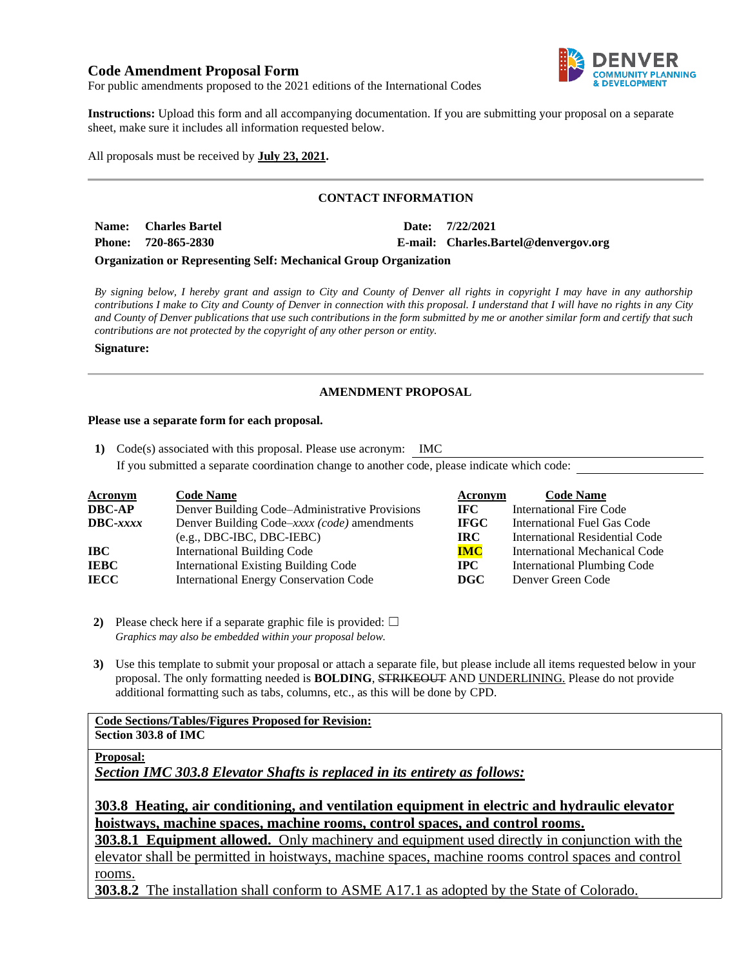# **Code Amendment Proposal Form**



For public amendments proposed to the 2021 editions of the International Codes

**Instructions:** Upload this form and all accompanying documentation. If you are submitting your proposal on a separate sheet, make sure it includes all information requested below.

All proposals must be received by **July 23, 2021.**

## **CONTACT INFORMATION**

| Name: Charles Bartel | Date: 7/22/2021                      |
|----------------------|--------------------------------------|
| Phone: 720-865-2830  | E-mail: Charles.Bartel@denvergov.org |

### **Organization or Representing Self: Mechanical Group Organization**

*By signing below, I hereby grant and assign to City and County of Denver all rights in copyright I may have in any authorship contributions I make to City and County of Denver in connection with this proposal. I understand that I will have no rights in any City and County of Denver publications that use such contributions in the form submitted by me or another similar form and certify that such contributions are not protected by the copyright of any other person or entity.* 

#### **Signature:**

# **AMENDMENT PROPOSAL**

### **Please use a separate form for each proposal.**

**1)** Code(s) associated with this proposal. Please use acronym: IMC If you submitted a separate coordination change to another code, please indicate which code:

| <b>Acronym</b>    | <b>Code Name</b>                               | Acronym     | <b>Code Name</b>                   |
|-------------------|------------------------------------------------|-------------|------------------------------------|
| <b>DBC-AP</b>     | Denver Building Code–Administrative Provisions | IFC -       | <b>International Fire Code</b>     |
| $\text{DBC}-xxxx$ | Denver Building Code–xxxx (code) amendments    | <b>IFGC</b> | International Fuel Gas Code        |
|                   | $(e.g., DBC-IBC, DBC-IEBC)$                    | IRC-        | International Residential Code     |
| IBC               | International Building Code                    | <b>IMC</b>  | International Mechanical Code      |
| <b>IEBC</b>       | <b>International Existing Building Code</b>    | $\bf IPC$   | <b>International Plumbing Code</b> |
| <b>IECC</b>       | <b>International Energy Conservation Code</b>  | DGC         | Denver Green Code                  |

**2)** Please check here if a separate graphic file is provided:  $\Box$ *Graphics may also be embedded within your proposal below.*

**3)** Use this template to submit your proposal or attach a separate file, but please include all items requested below in your proposal. The only formatting needed is **BOLDING**, STRIKEOUT AND UNDERLINING. Please do not provide additional formatting such as tabs, columns, etc., as this will be done by CPD.

#### **Code Sections/Tables/Figures Proposed for Revision: Section 303.8 of IMC**

## **Proposal:**

*Section IMC 303.8 Elevator Shafts is replaced in its entirety as follows:*

**303.8 Heating, air conditioning, and ventilation equipment in electric and hydraulic elevator hoistways, machine spaces, machine rooms, control spaces, and control rooms.**

**303.8.1 Equipment allowed.** Only machinery and equipment used directly in conjunction with the elevator shall be permitted in hoistways, machine spaces, machine rooms control spaces and control rooms.

**303.8.2** The installation shall conform to ASME A17.1 as adopted by the State of Colorado.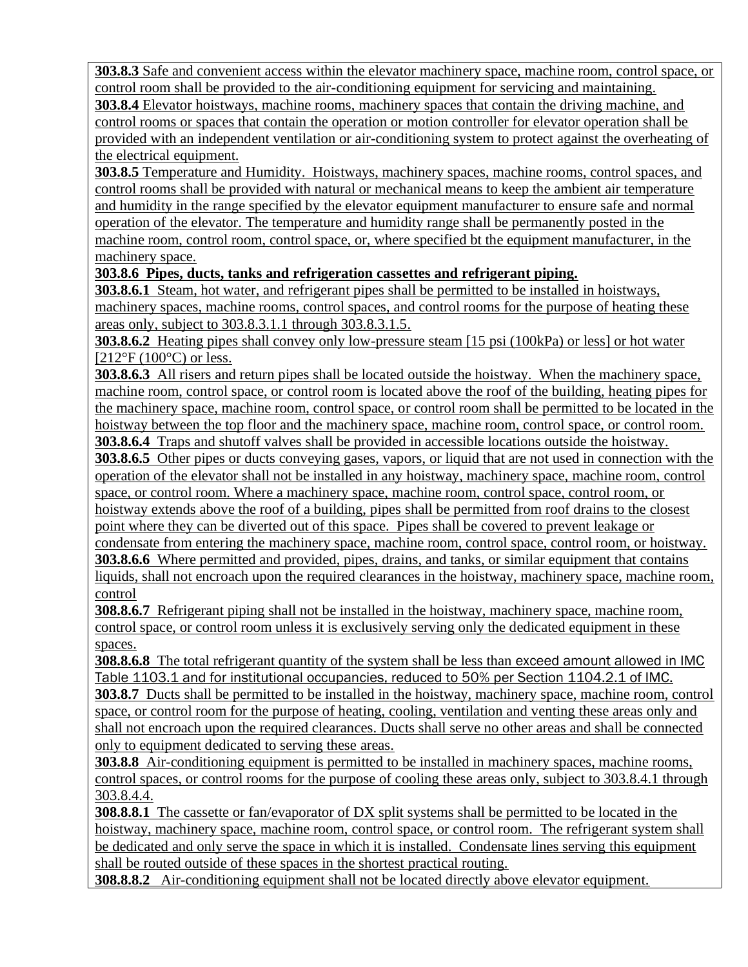**303.8.3** Safe and convenient access within the elevator machinery space, machine room, control space, or control room shall be provided to the air-conditioning equipment for servicing and maintaining. **303.8.4** Elevator hoistways, machine rooms, machinery spaces that contain the driving machine, and control rooms or spaces that contain the operation or motion controller for elevator operation shall be provided with an independent ventilation or air-conditioning system to protect against the overheating of the electrical equipment.

**303.8.5** Temperature and Humidity. Hoistways, machinery spaces, machine rooms, control spaces, and control rooms shall be provided with natural or mechanical means to keep the ambient air temperature and humidity in the range specified by the elevator equipment manufacturer to ensure safe and normal operation of the elevator. The temperature and humidity range shall be permanently posted in the machine room, control room, control space, or, where specified bt the equipment manufacturer, in the machinery space.

# **303.8.6 Pipes, ducts, tanks and refrigeration cassettes and refrigerant piping.**

**303.8.6.1** Steam, hot water, and refrigerant pipes shall be permitted to be installed in hoistways, machinery spaces, machine rooms, control spaces, and control rooms for the purpose of heating these areas only, subject to 303.8.3.1.1 through 303.8.3.1.5.

**303.8.6.2** Heating pipes shall convey only low-pressure steam [15 psi (100kPa) or less] or hot water  $[212^{\circ}F (100^{\circ}C)$  or less.

**303.8.6.3** All risers and return pipes shall be located outside the hoistway. When the machinery space, machine room, control space, or control room is located above the roof of the building, heating pipes for the machinery space, machine room, control space, or control room shall be permitted to be located in the hoistway between the top floor and the machinery space, machine room, control space, or control room.

**303.8.6.4** Traps and shutoff valves shall be provided in accessible locations outside the hoistway.

**303.8.6.5** Other pipes or ducts conveying gases, vapors, or liquid that are not used in connection with the operation of the elevator shall not be installed in any hoistway, machinery space, machine room, control space, or control room. Where a machinery space, machine room, control space, control room, or hoistway extends above the roof of a building, pipes shall be permitted from roof drains to the closest point where they can be diverted out of this space. Pipes shall be covered to prevent leakage or

condensate from entering the machinery space, machine room, control space, control room, or hoistway. **303.8.6.6** Where permitted and provided, pipes, drains, and tanks, or similar equipment that contains liquids, shall not encroach upon the required clearances in the hoistway, machinery space, machine room, control

**308.8.6.7** Refrigerant piping shall not be installed in the hoistway, machinery space, machine room, control space, or control room unless it is exclusively serving only the dedicated equipment in these spaces.

**308.8.6.8** The total refrigerant quantity of the system shall be less than exceed amount allowed in IMC Table 1103.1 and for institutional occupancies, reduced to 50% per Section 1104.2.1 of IMC.

**303.8.7** Ducts shall be permitted to be installed in the hoistway, machinery space, machine room, control space, or control room for the purpose of heating, cooling, ventilation and venting these areas only and shall not encroach upon the required clearances. Ducts shall serve no other areas and shall be connected only to equipment dedicated to serving these areas.

**303.8.8** Air-conditioning equipment is permitted to be installed in machinery spaces, machine rooms, control spaces, or control rooms for the purpose of cooling these areas only, subject to 303.8.4.1 through 303.8.4.4.

**308.8.8.1** The cassette or fan/evaporator of DX split systems shall be permitted to be located in the hoistway, machinery space, machine room, control space, or control room. The refrigerant system shall be dedicated and only serve the space in which it is installed. Condensate lines serving this equipment shall be routed outside of these spaces in the shortest practical routing.

**308.8.8.2** Air-conditioning equipment shall not be located directly above elevator equipment.